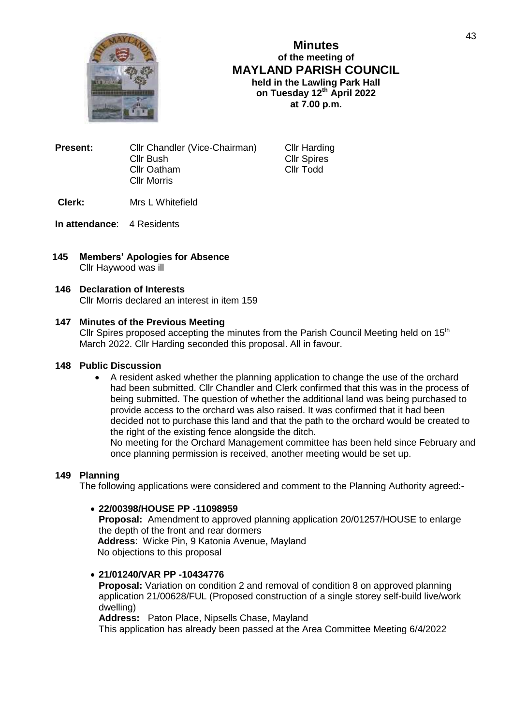

**Minutes of the meeting of MAYLAND PARISH COUNCIL held in the Lawling Park Hall on Tuesday 12th April 2022 at 7.00 p.m.**

| Present: | Cllr Chandler (Vice-Chairman) |
|----------|-------------------------------|
|          | Cllr Bush                     |
|          | Cllr Oatham                   |
|          | <b>Cllr Morris</b>            |
|          |                               |

**Cllr Harding** Cllr Spires Cllr Todd

**Clerk:** Mrs L Whitefield

**In attendance**: 4 Residents

**145 Members' Apologies for Absence** Cllr Haywood was ill

### **146 Declaration of Interests**

Cllr Morris declared an interest in item 159

### **147 Minutes of the Previous Meeting**

Cllr Spires proposed accepting the minutes from the Parish Council Meeting held on  $15<sup>th</sup>$ March 2022. Cllr Harding seconded this proposal. All in favour.

#### **148 Public Discussion**

 A resident asked whether the planning application to change the use of the orchard had been submitted. Cllr Chandler and Clerk confirmed that this was in the process of being submitted. The question of whether the additional land was being purchased to provide access to the orchard was also raised. It was confirmed that it had been decided not to purchase this land and that the path to the orchard would be created to the right of the existing fence alongside the ditch.

No meeting for the Orchard Management committee has been held since February and once planning permission is received, another meeting would be set up.

# **149 Planning**

The following applications were considered and comment to the Planning Authority agreed:-

# **22/00398/HOUSE PP -11098959**

**Proposal:** Amendment to approved planning application 20/01257/HOUSE to enlarge the depth of the front and rear dormers **Address**: Wicke Pin, 9 Katonia Avenue, Mayland No objections to this proposal

# **21/01240/VAR PP -10434776**

**Proposal:** Variation on condition 2 and removal of condition 8 on approved planning application 21/00628/FUL (Proposed construction of a single storey self-build live/work dwelling)

**Address:** Paton Place, Nipsells Chase, Mayland

This application has already been passed at the Area Committee Meeting 6/4/2022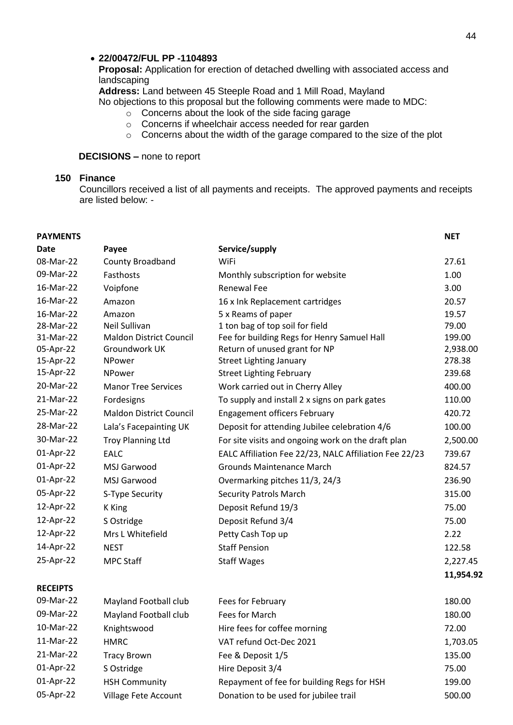#### **22/00472/FUL PP -1104893**

**Proposal:** Application for erection of detached dwelling with associated access and landscaping

**Address:** Land between 45 Steeple Road and 1 Mill Road, Mayland

No objections to this proposal but the following comments were made to MDC:

- $\circ$  Concerns about the look of the side facing garage
- o Concerns if wheelchair access needed for rear garden
- o Concerns about the width of the garage compared to the size of the plot

# **DECISIONS –** none to report

# **150 Finance**

Councillors received a list of all payments and receipts. The approved payments and receipts are listed below: -

| <b>PAYMENTS</b> |                                |                                                        | <b>NET</b> |
|-----------------|--------------------------------|--------------------------------------------------------|------------|
| Date            | Payee                          | Service/supply                                         |            |
| 08-Mar-22       | County Broadband               | WiFi                                                   | 27.61      |
| 09-Mar-22       | Fasthosts                      | Monthly subscription for website                       | 1.00       |
| 16-Mar-22       | Voipfone                       | <b>Renewal Fee</b>                                     | 3.00       |
| 16-Mar-22       | Amazon                         | 16 x Ink Replacement cartridges                        | 20.57      |
| 16-Mar-22       | Amazon                         | 5 x Reams of paper                                     | 19.57      |
| 28-Mar-22       | <b>Neil Sullivan</b>           | 1 ton bag of top soil for field                        | 79.00      |
| 31-Mar-22       | <b>Maldon District Council</b> | Fee for building Regs for Henry Samuel Hall            | 199.00     |
| 05-Apr-22       | Groundwork UK                  | Return of unused grant for NP                          | 2,938.00   |
| 15-Apr-22       | NPower                         | <b>Street Lighting January</b>                         | 278.38     |
| 15-Apr-22       | <b>NPower</b>                  | <b>Street Lighting February</b>                        | 239.68     |
| 20-Mar-22       | <b>Manor Tree Services</b>     | Work carried out in Cherry Alley                       | 400.00     |
| 21-Mar-22       | Fordesigns                     | To supply and install 2 x signs on park gates          | 110.00     |
| 25-Mar-22       | <b>Maldon District Council</b> | <b>Engagement officers February</b>                    | 420.72     |
| 28-Mar-22       | Lala's Facepainting UK         | Deposit for attending Jubilee celebration 4/6          | 100.00     |
| 30-Mar-22       | <b>Troy Planning Ltd</b>       | For site visits and ongoing work on the draft plan     | 2,500.00   |
| 01-Apr-22       | <b>EALC</b>                    | EALC Affiliation Fee 22/23, NALC Affiliation Fee 22/23 | 739.67     |
| 01-Apr-22       | <b>MSJ Garwood</b>             | <b>Grounds Maintenance March</b>                       | 824.57     |
| 01-Apr-22       | MSJ Garwood                    | Overmarking pitches 11/3, 24/3                         | 236.90     |
| 05-Apr-22       | S-Type Security                | <b>Security Patrols March</b>                          | 315.00     |
| 12-Apr-22       | K King                         | Deposit Refund 19/3                                    | 75.00      |
| 12-Apr-22       | S Ostridge                     | Deposit Refund 3/4                                     | 75.00      |
| 12-Apr-22       | Mrs L Whitefield               | Petty Cash Top up                                      | 2.22       |
| 14-Apr-22       | <b>NEST</b>                    | <b>Staff Pension</b>                                   | 122.58     |
| 25-Apr-22       | <b>MPC Staff</b>               | <b>Staff Wages</b>                                     | 2,227.45   |
|                 |                                |                                                        | 11,954.92  |
| <b>RECEIPTS</b> |                                |                                                        |            |
| 09-Mar-22       | Mayland Football club          | Fees for February                                      | 180.00     |
| 09-Mar-22       | Mayland Football club          | Fees for March                                         | 180.00     |
| 10-Mar-22       | Knightswood                    | Hire fees for coffee morning                           | 72.00      |
| 11-Mar-22       | <b>HMRC</b>                    | VAT refund Oct-Dec 2021                                | 1,703.05   |
| 21-Mar-22       | <b>Tracy Brown</b>             | Fee & Deposit 1/5                                      | 135.00     |
| 01-Apr-22       | S Ostridge                     | Hire Deposit 3/4                                       | 75.00      |
| 01-Apr-22       | <b>HSH Community</b>           | Repayment of fee for building Regs for HSH             | 199.00     |
| 05-Apr-22       | Village Fete Account           | Donation to be used for jubilee trail                  | 500.00     |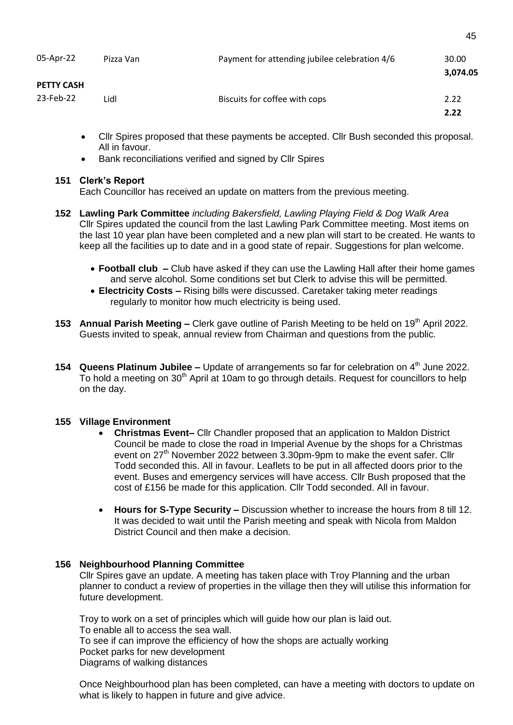| 05-Apr-22                      | Pizza Van | Payment for attending jubilee celebration 4/6 | 30.00<br>3,074.05 |
|--------------------------------|-----------|-----------------------------------------------|-------------------|
| <b>PETTY CASH</b><br>23-Feb-22 | Lidl      | Biscuits for coffee with cops                 | 2.22<br>2.22      |

- Cllr Spires proposed that these payments be accepted. Cllr Bush seconded this proposal. All in favour.
- Bank reconciliations verified and signed by Cllr Spires

# **151 Clerk's Report**

Each Councillor has received an update on matters from the previous meeting.

- **152 Lawling Park Committee** *including Bakersfield, Lawling Playing Field & Dog Walk Area* Cllr Spires updated the council from the last Lawling Park Committee meeting. Most items on the last 10 year plan have been completed and a new plan will start to be created. He wants to keep all the facilities up to date and in a good state of repair. Suggestions for plan welcome.
	- **Football club –** Club have asked if they can use the Lawling Hall after their home games and serve alcohol. Some conditions set but Clerk to advise this will be permitted.
	- **Electricity Costs –** Rising bills were discussed. Caretaker taking meter readings regularly to monitor how much electricity is being used.
- **153 Annual Parish Meeting –** Clerk gave outline of Parish Meeting to be held on 19<sup>th</sup> April 2022. Guests invited to speak, annual review from Chairman and questions from the public.
- **154 Queens Platinum Jubilee –** Update of arrangements so far for celebration on 4th June 2022. To hold a meeting on  $30<sup>th</sup>$  April at 10am to go through details. Request for councillors to help on the day.

# **155 Village Environment**

- **Christmas Event–** Cllr Chandler proposed that an application to Maldon District Council be made to close the road in Imperial Avenue by the shops for a Christmas event on  $27<sup>th</sup>$  November 2022 between 3.30pm-9pm to make the event safer. Cllr Todd seconded this. All in favour. Leaflets to be put in all affected doors prior to the event. Buses and emergency services will have access. Cllr Bush proposed that the cost of £156 be made for this application. Cllr Todd seconded. All in favour.
- **Hours for S-Type Security –** Discussion whether to increase the hours from 8 till 12. It was decided to wait until the Parish meeting and speak with Nicola from Maldon District Council and then make a decision.

# **156 Neighbourhood Planning Committee**

Cllr Spires gave an update. A meeting has taken place with Troy Planning and the urban planner to conduct a review of properties in the village then they will utilise this information for future development.

Troy to work on a set of principles which will guide how our plan is laid out. To enable all to access the sea wall. To see if can improve the efficiency of how the shops are actually working Pocket parks for new development Diagrams of walking distances

Once Neighbourhood plan has been completed, can have a meeting with doctors to update on what is likely to happen in future and give advice.